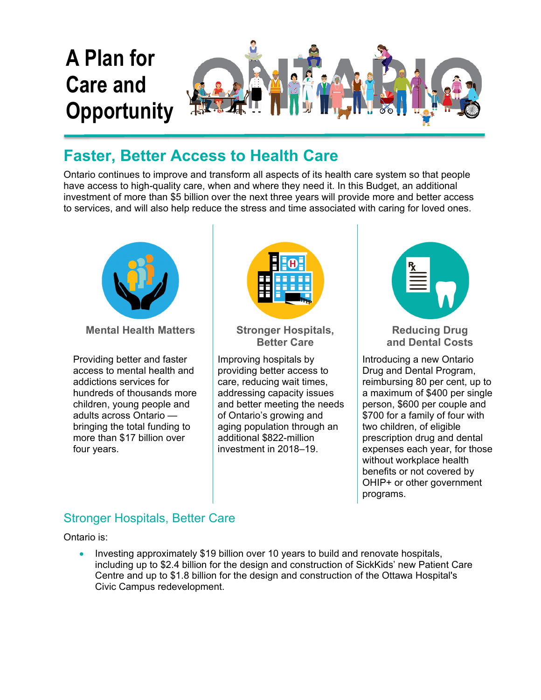

# **Faster, Better Access to Health Care**

Ontario continues to improve and transform all aspects of its health care system so that people have access to high-quality care, when and where they need it. In this Budget, an additional investment of more than \$5 billion over the next three years will provide more and better access to services, and will also help reduce the stress and time associated with caring for loved ones.



**Mental Health Matters | Stronger Hospitals,** 

Providing better and faster access to mental health and addictions services for hundreds of thousands more children, young people and adults across Ontario bringing the total funding to more than \$17 billion over four years.



**Better Care** 

Improving hospitals by providing better access to care, reducing wait times, addressing capacity issues and better meeting the needs of Ontario's growing and aging population through an additional \$822-million investment in 2018–19.



**Reducing Drug and Dental Costs** 

Introducing a new Ontario Drug and Dental Program, reimbursing 80 per cent, up to a maximum of \$400 per single person, \$600 per couple and \$700 for a family of four with two children, of eligible prescription drug and dental expenses each year, for those without workplace health benefits or not covered by OHIP+ or other government programs.

## Stronger Hospitals, Better Care

Ontario is:

 Investing approximately \$19 billion over 10 years to build and renovate hospitals, including up to \$2.4 billion for the design and construction of SickKids' new Patient Care Centre and up to \$1.8 billion for the design and construction of the Ottawa Hospital's Civic Campus redevelopment.